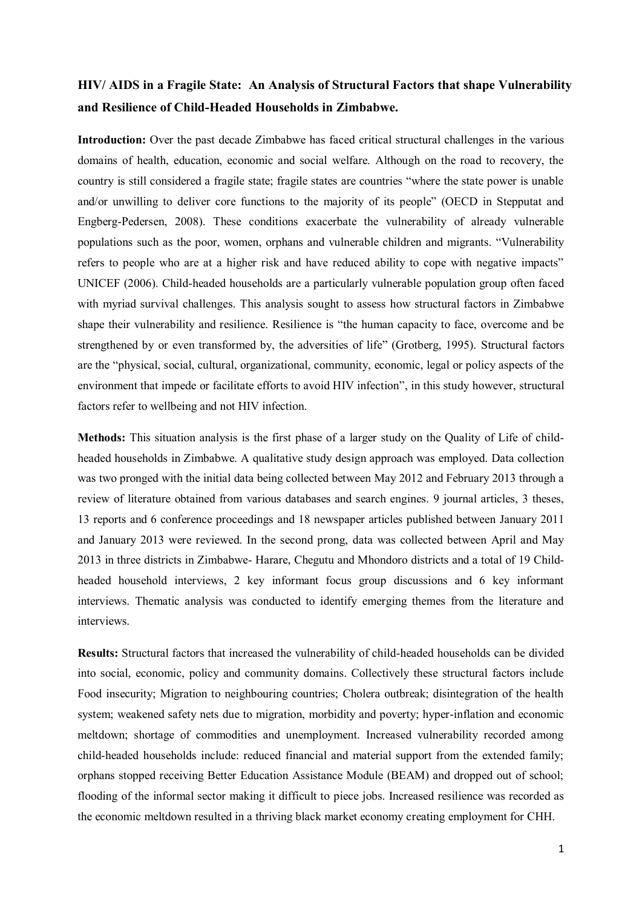## **HIV/ AIDS in a Fragile State: An Analysis of Structural Factors that shape Vulnerability and Resilience of Child-Headed Households in Zimbabwe.**

**Introduction:** Over the past decade Zimbabwe has faced critical structural challenges in the various domains of health, education, economic and social welfare. Although on the road to recovery, the country is still considered a fragile state; fragile states are countries "where the state power is unable and/or unwilling to deliver core functions to the majority of its people" (OECD in Stepputat and Engberg-Pedersen, 2008). These conditions exacerbate the vulnerability of already vulnerable populations such as the poor, women, orphans and vulnerable children and migrants. "Vulnerability refers to people who are at a higher risk and have reduced ability to cope with negative impacts" UNICEF (2006). Child-headed households are a particularly vulnerable population group often faced with myriad survival challenges. This analysis sought to assess how structural factors in Zimbabwe shape their vulnerability and resilience. Resilience is "the human capacity to face, overcome and be strengthened by or even transformed by, the adversities of life" (Grotberg, 1995). Structural factors are the "physical, social, cultural, organizational, community, economic, legal or policy aspects of the environment that impede or facilitate efforts to avoid HIV infection", in this study however, structural factors refer to wellbeing and not HIV infection.

**Methods:** This situation analysis is the first phase of a larger study on the Quality of Life of childheaded households in Zimbabwe. A qualitative study design approach was employed. Data collection was two pronged with the initial data being collected between May 2012 and February 2013 through a review of literature obtained from various databases and search engines. 9 journal articles, 3 theses, 13 reports and 6 conference proceedings and 18 newspaper articles published between January 2011 and January 2013 were reviewed. In the second prong, data was collected between April and May 2013 in three districts in Zimbabwe- Harare, Chegutu and Mhondoro districts and a total of 19 Childheaded household interviews, 2 key informant focus group discussions and 6 key informant interviews. Thematic analysis was conducted to identify emerging themes from the literature and interviews.

**Results:** Structural factors that increased the vulnerability of child-headed households can be divided into social, economic, policy and community domains. Collectively these structural factors include Food insecurity; Migration to neighbouring countries; Cholera outbreak; disintegration of the health system; weakened safety nets due to migration, morbidity and poverty; hyper-inflation and economic meltdown; shortage of commodities and unemployment. Increased vulnerability recorded among child-headed households include: reduced financial and material support from the extended family; orphans stopped receiving Better Education Assistance Module (BEAM) and dropped out of school; flooding of the informal sector making it difficult to piece jobs. Increased resilience was recorded as the economic meltdown resulted in a thriving black market economy creating employment for CHH.